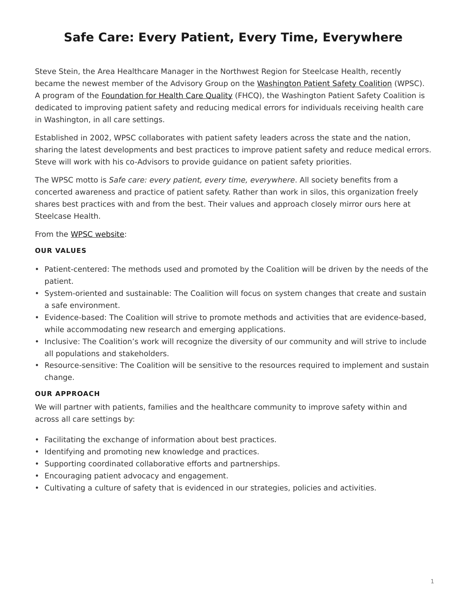# <span id="page-0-0"></span>**Safe Care: Every Patient, Every Time, Everywhere**

Steve Stein, the Area Healthcare Manager in the Northwest Region for Steelcase Health, recently became the newest member of the Advisory Group on the [Washington Patient Safety Coalition](http://www.wapatientsafety.org/) (WPSC). A program of the [Foundation for Health Care Quality](http://www.qualityhealth.org/) (FHCQ), the Washington Patient Safety Coalition is dedicated to improving patient safety and reducing medical errors for individuals receiving health care in Washington, in all care settings.

Established in 2002, WPSC collaborates with patient safety leaders across the state and the nation, sharing the latest developments and best practices to improve patient safety and reduce medical errors. Steve will work with his co-Advisors to provide guidance on patient safety priorities.

The WPSC motto is *Safe care: every patient, every time, everywhere*. All society benefits from a concerted awareness and practice of patient safety. Rather than work in silos, this organization freely shares best practices with and from the best. Their values and approach closely mirror ours here at Steelcase Health.

From the [WPSC website](http://www.wapatientsafety.org/):

## **OUR VALUES**

- Patient-centered: The methods used and promoted by the Coalition will be driven by the needs of the patient.
- System-oriented and sustainable: The Coalition will focus on system changes that create and sustain a safe environment.
- Evidence-based: The Coalition will strive to promote methods and activities that are evidence-based, while accommodating new research and emerging applications.
- Inclusive: The Coalition's work will recognize the diversity of our community and will strive to include all populations and stakeholders.
- Resource-sensitive: The Coalition will be sensitive to the resources required to implement and sustain change.

# **OUR APPROACH**

We will partner with patients, families and the healthcare community to improve safety within and across all care settings by:

- Facilitating the exchange of information about best practices.
- Identifying and promoting new knowledge and practices.
- Supporting coordinated collaborative efforts and partnerships.
- Encouraging patient advocacy and engagement.
- Cultivating a culture of safety that is evidenced in our strategies, policies and activities.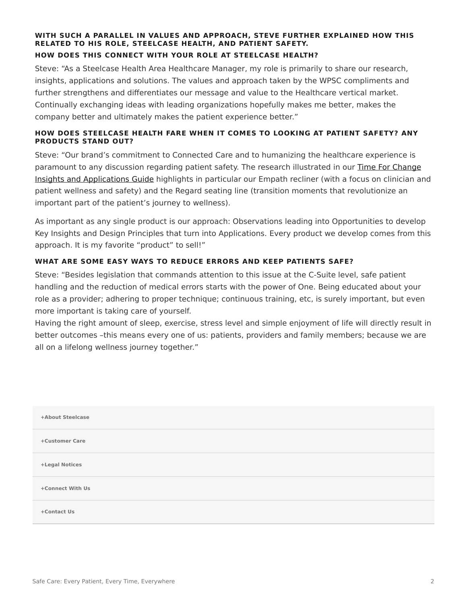#### **WITH SUCH A PARALLEL IN VALUES AND APPROACH, STEVE FURTHER EXPLAINED HOW THIS RELATED TO HIS ROLE, STEELCASE HEALTH, AND PATIENT SAFETY. HOW DOES THIS CONNECT WITH YOUR ROLE AT STEELCASE HEALTH?**

Steve: "As a Steelcase Health Area Healthcare Manager, my role is primarily to share our research, insights, applications and solutions. The values and approach taken by the WPSC compliments and further strengthens and differentiates our message and value to the Healthcare vertical market. Continually exchanging ideas with leading organizations hopefully makes me better, makes the company better and ultimately makes the patient experience better."

## **HOW DOES STEELCASE HEALTH FARE WHEN IT COMES TO LOOKING AT PATIENT SAFETY? ANY PRODUCTS STAND OUT?**

Steve: "Our brand's commitment to Connected Care and to humanizing the healthcare experience is paramount to any discussion regarding patient safety. The research illustrated in our [Time For Change](https://www.steelcase.com/resources/documents/steelcase-health-time-change-insights-applications-guide/) [Insights and Applications Guide](https://www.steelcase.com/resources/documents/steelcase-health-time-change-insights-applications-guide/) highlights in particular our Empath recliner (with a focus on clinician and patient wellness and safety) and the Regard seating line (transition moments that revolutionize an important part of the patient's journey to wellness).

As important as any single product is our approach: Observations leading into Opportunities to develop Key Insights and Design Principles that turn into Applications. Every product we develop comes from this approach. It is my favorite "product" to sell!"

## **WHAT ARE SOME EASY WAYS TO REDUCE ERRORS AND KEEP PATIENTS SAFE?**

Steve: "Besides legislation that commands attention to this issue at the C-Suite level, safe patient handling and the reduction of medical errors starts with the power of One. Being educated about your role as a provider; adhering to proper technique; continuous training, etc, is surely important, but even more important is taking care of yourself.

Having the right amount of sleep, exercise, stress level and simple enjoyment of life will directly result in better outcomes –this means every one of us: patients, providers and family members; because we are all on a lifelong wellness journey together."

| +About Steelcase |  |
|------------------|--|
| +Customer Care   |  |
| +Legal Notices   |  |
| +Connect With Us |  |
| +Contact Us      |  |